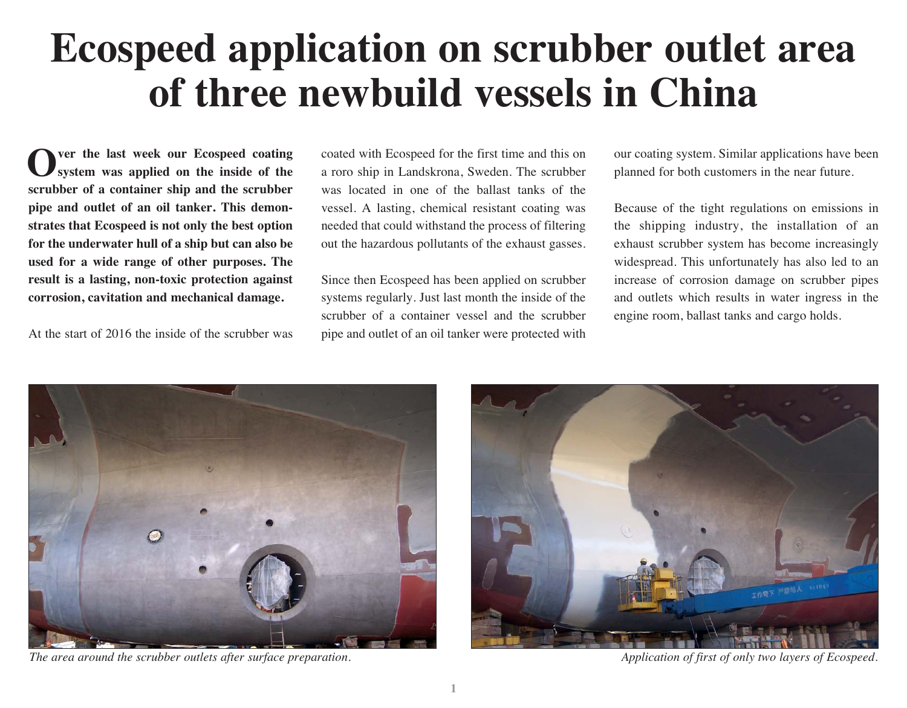## **Ecospeed application on scrubber outlet area of three newbuild vessels in China**

**Over the last week our Ecospeed coating system was applied on the inside of the scrubber of a container ship and the scrubber pipe and outlet of an oil tanker. This demonstrates that Ecospeed is not only the best option for the underwater hull of a ship but can also be used for a wide range of other purposes. The result is a lasting, non-toxic protection against corrosion, cavitation and mechanical damage.**

At the start of 2016 the inside of the scrubber was

coated with Ecospeed for the first time and this on a roro ship in Landskrona, Sweden. The scrubber was located in one of the ballast tanks of the vessel. A lasting, chemical resistant coating was needed that could withstand the process of filtering out the hazardous pollutants of the exhaust gasses.

Since then Ecospeed has been applied on scrubber systems regularly. Just last month the inside of the scrubber of a container vessel and the scrubber pipe and outlet of an oil tanker were protected with

our coating system. Similar applications have been planned for both customers in the near future.

Because of the tight regulations on emissions in the shipping industry, the installation of an exhaust scrubber system has become increasingly widespread. This unfortunately has also led to an increase of corrosion damage on scrubber pipes and outlets which results in water ingress in the engine room, ballast tanks and cargo holds.



*The area around the scrubber outlets after surface preparation. Application of first of only two layers of Ecospeed.* 

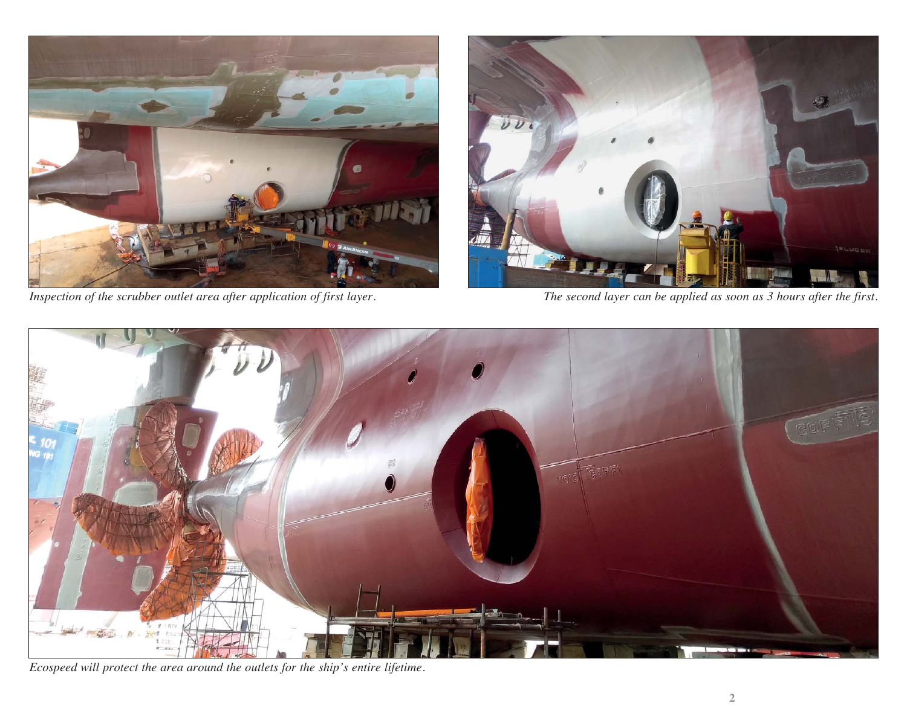

*Inspection of the scrubber outlet area after application of first layer. The second layer can be applied as soon as 3 hours after the first.*





*Ecospeed will protect the area around the outlets for the ship's entire lifetime.*